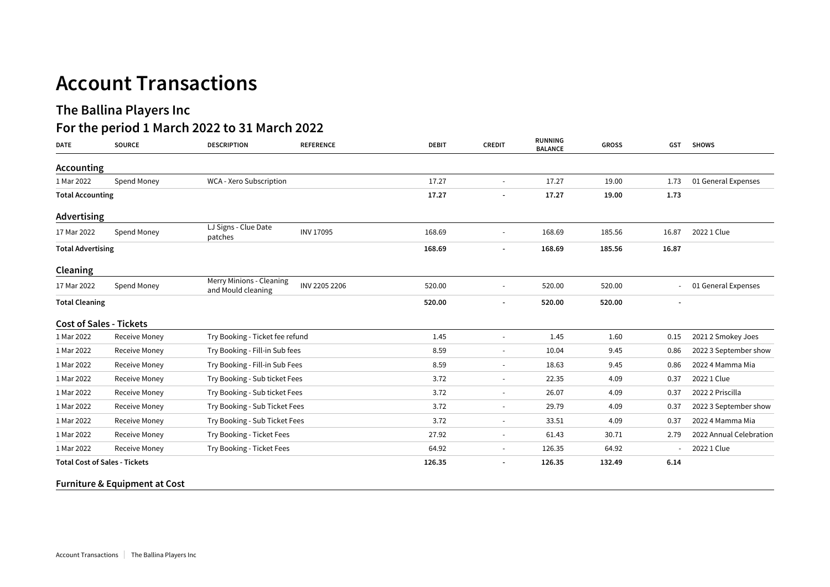## **Account Transactions**

## **The Ballina Players Inc**

## **For the period 1 March 2022 to 31 March 2022**

| <b>DATE</b>                          | <b>SOURCE</b>                            | <b>DESCRIPTION</b>                             | <b>REFERENCE</b>               | <b>DEBIT</b>             | <b>CREDIT</b>            | <b>RUNNING</b><br><b>BALANCE</b> | <b>GROSS</b> | <b>GST</b>               | <b>SHOWS</b>            |
|--------------------------------------|------------------------------------------|------------------------------------------------|--------------------------------|--------------------------|--------------------------|----------------------------------|--------------|--------------------------|-------------------------|
| Accounting                           |                                          |                                                |                                |                          |                          |                                  |              |                          |                         |
| 1 Mar 2022                           | Spend Money                              | WCA - Xero Subscription                        |                                | 17.27                    | $\overline{\phantom{a}}$ | 17.27                            | 19.00        | 1.73                     | 01 General Expenses     |
| <b>Total Accounting</b>              |                                          |                                                | 17.27                          | $\overline{\phantom{a}}$ | 17.27                    | 19.00                            | 1.73         |                          |                         |
| Advertising                          |                                          |                                                |                                |                          |                          |                                  |              |                          |                         |
| 17 Mar 2022                          | Spend Money                              | LJ Signs - Clue Date<br>patches                | <b>INV 17095</b>               | 168.69                   |                          | 168.69                           | 185.56       | 16.87                    | 2022 1 Clue             |
| <b>Total Advertising</b>             |                                          |                                                | 168.69                         | $\overline{\phantom{a}}$ | 168.69                   | 185.56                           | 16.87        |                          |                         |
| Cleaning                             |                                          |                                                |                                |                          |                          |                                  |              |                          |                         |
| 17 Mar 2022                          | Spend Money                              | Merry Minions - Cleaning<br>and Mould cleaning | INV 2205 2206                  | 520.00                   | $\overline{\phantom{a}}$ | 520.00                           | 520.00       |                          | 01 General Expenses     |
| <b>Total Cleaning</b>                |                                          |                                                |                                | 520.00                   | $\blacksquare$           | 520.00                           | 520.00       | $\overline{\phantom{a}}$ |                         |
| <b>Cost of Sales - Tickets</b>       |                                          |                                                |                                |                          |                          |                                  |              |                          |                         |
| 1 Mar 2022                           | <b>Receive Money</b>                     | Try Booking - Ticket fee refund                |                                | 1.45                     | $\overline{\phantom{a}}$ | 1.45                             | 1.60         | 0.15                     | 2021 2 Smokey Joes      |
| 1 Mar 2022                           | <b>Receive Money</b>                     |                                                | Try Booking - Fill-in Sub fees |                          | $\sim$                   | 10.04                            | 9.45         | 0.86                     | 2022 3 September show   |
| 1 Mar 2022                           | <b>Receive Money</b>                     | Try Booking - Fill-in Sub Fees                 |                                | 8.59                     | $\overline{\phantom{a}}$ | 18.63                            | 9.45         | 0.86                     | 2022 4 Mamma Mia        |
| 1 Mar 2022                           | <b>Receive Money</b>                     |                                                | Try Booking - Sub ticket Fees  |                          | $\overline{\phantom{a}}$ | 22.35                            | 4.09         | 0.37                     | 2022 1 Clue             |
| 1 Mar 2022                           | <b>Receive Money</b>                     | Try Booking - Sub ticket Fees                  |                                | 3.72                     | $\overline{\phantom{a}}$ | 26.07                            | 4.09         | 0.37                     | 2022 2 Priscilla        |
| 1 Mar 2022                           | <b>Receive Money</b>                     | Try Booking - Sub Ticket Fees                  |                                | 3.72                     | $\overline{\phantom{a}}$ | 29.79                            | 4.09         | 0.37                     | 2022 3 September show   |
| 1 Mar 2022                           | <b>Receive Money</b>                     | Try Booking - Sub Ticket Fees                  |                                | 3.72                     | $\overline{\phantom{a}}$ | 33.51                            | 4.09         | 0.37                     | 2022 4 Mamma Mia        |
| 1 Mar 2022                           | Receive Money                            | Try Booking - Ticket Fees                      |                                | 27.92                    | $\overline{\phantom{a}}$ | 61.43                            | 30.71        | 2.79                     | 2022 Annual Celebration |
| 1 Mar 2022                           | Receive Money                            | Try Booking - Ticket Fees                      |                                | 64.92                    | $\overline{\phantom{a}}$ | 126.35                           | 64.92        |                          | 2022 1 Clue             |
| <b>Total Cost of Sales - Tickets</b> |                                          |                                                |                                | 126.35                   | $\overline{\phantom{a}}$ | 126.35                           | 132.49       | 6.14                     |                         |
|                                      | <b>Furniture &amp; Equipment at Cost</b> |                                                |                                |                          |                          |                                  |              |                          |                         |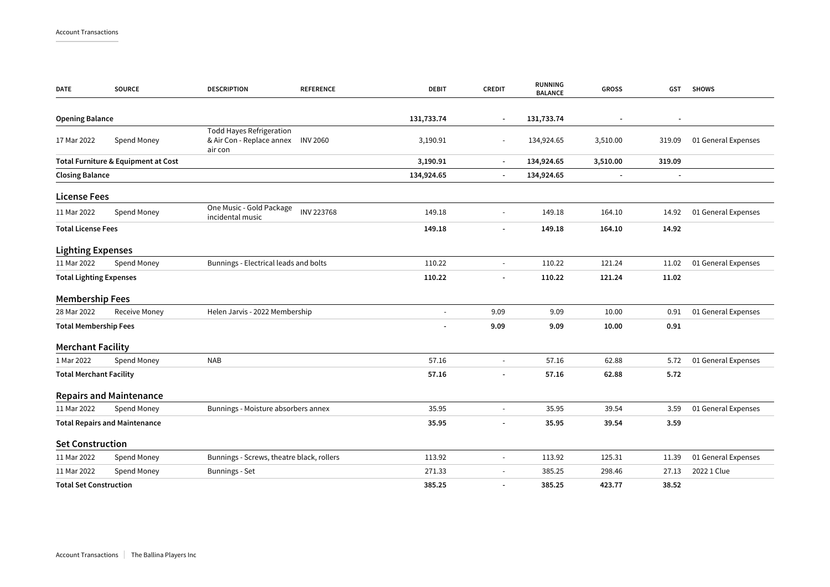| <b>DATE</b>                          | <b>SOURCE</b>                       | <b>DESCRIPTION</b>                                                      | <b>REFERENCE</b>         | <b>DEBIT</b>             | <b>CREDIT</b>            | RUNNING<br><b>BALANCE</b> | <b>GROSS</b>             | GST                      | <b>SHOWS</b>        |
|--------------------------------------|-------------------------------------|-------------------------------------------------------------------------|--------------------------|--------------------------|--------------------------|---------------------------|--------------------------|--------------------------|---------------------|
| <b>Opening Balance</b>               |                                     |                                                                         |                          | 131,733.74               | $\blacksquare$           | 131,733.74                | $\blacksquare$           | $\overline{\phantom{a}}$ |                     |
| 17 Mar 2022                          | Spend Money                         | <b>Todd Hayes Refrigeration</b><br>& Air Con - Replace annex<br>air con | <b>INV 2060</b>          | 3,190.91                 | $\sim$                   | 134,924.65                | 3,510.00                 | 319.09                   | 01 General Expenses |
|                                      | Total Furniture & Equipment at Cost |                                                                         | 3,190.91                 | $\blacksquare$           | 134,924.65               | 3,510.00                  | 319.09                   |                          |                     |
| <b>Closing Balance</b>               |                                     |                                                                         |                          | 134,924.65               | $\overline{\phantom{a}}$ | 134,924.65                | $\overline{\phantom{a}}$ | $\overline{\phantom{a}}$ |                     |
| <b>License Fees</b>                  |                                     |                                                                         |                          |                          |                          |                           |                          |                          |                     |
| 11 Mar 2022                          | Spend Money                         | One Music - Gold Package<br>incidental music                            | <b>INV 223768</b>        | 149.18                   |                          | 149.18                    | 164.10                   | 14.92                    | 01 General Expenses |
| <b>Total License Fees</b>            |                                     |                                                                         | 149.18                   | $\overline{\phantom{a}}$ | 149.18                   | 164.10                    | 14.92                    |                          |                     |
| <b>Lighting Expenses</b>             |                                     |                                                                         |                          |                          |                          |                           |                          |                          |                     |
| 11 Mar 2022                          | Spend Money                         | Bunnings - Electrical leads and bolts                                   |                          | 110.22                   | $\blacksquare$           | 110.22                    | 121.24                   | 11.02                    | 01 General Expenses |
| <b>Total Lighting Expenses</b>       |                                     |                                                                         | 110.22                   |                          | 110.22                   | 121.24                    | 11.02                    |                          |                     |
| <b>Membership Fees</b>               |                                     |                                                                         |                          |                          |                          |                           |                          |                          |                     |
| 28 Mar 2022                          | Receive Money                       | Helen Jarvis - 2022 Membership                                          |                          |                          | 9.09                     | 9.09                      | 10.00                    | 0.91                     | 01 General Expenses |
| <b>Total Membership Fees</b>         |                                     |                                                                         | 9.09                     | 9.09                     | 10.00                    | 0.91                      |                          |                          |                     |
| <b>Merchant Facility</b>             |                                     |                                                                         |                          |                          |                          |                           |                          |                          |                     |
| 1 Mar 2022                           | Spend Money                         | <b>NAB</b>                                                              |                          | 57.16                    | $\sim$                   | 57.16                     | 62.88                    | 5.72                     | 01 General Expenses |
| <b>Total Merchant Facility</b>       |                                     | 57.16                                                                   | $\overline{\phantom{a}}$ | 57.16                    | 62.88                    | 5.72                      |                          |                          |                     |
|                                      | <b>Repairs and Maintenance</b>      |                                                                         |                          |                          |                          |                           |                          |                          |                     |
| 11 Mar 2022                          | Spend Money                         | Bunnings - Moisture absorbers annex                                     |                          | 35.95                    |                          | 35.95                     | 39.54                    | 3.59                     | 01 General Expenses |
| <b>Total Repairs and Maintenance</b> |                                     |                                                                         | 35.95                    | $\overline{\phantom{a}}$ | 35.95                    | 39.54                     | 3.59                     |                          |                     |
| <b>Set Construction</b>              |                                     |                                                                         |                          |                          |                          |                           |                          |                          |                     |
| 11 Mar 2022                          | Spend Money                         | Bunnings - Screws, theatre black, rollers                               |                          | 113.92                   | $\blacksquare$           | 113.92                    | 125.31                   | 11.39                    | 01 General Expenses |
| 11 Mar 2022                          | Spend Money                         | Bunnings - Set                                                          |                          | 271.33                   | $\overline{\phantom{a}}$ | 385.25                    | 298.46                   | 27.13                    | 2022 1 Clue         |
| <b>Total Set Construction</b>        |                                     |                                                                         | 385.25                   | $\overline{\phantom{a}}$ | 385.25                   | 423.77                    | 38.52                    |                          |                     |